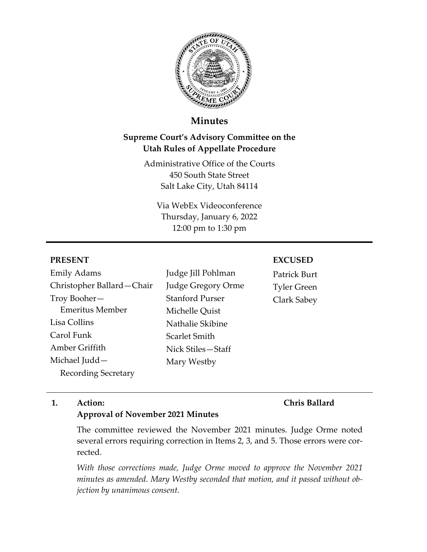

# **Minutes**

# **Supreme Court's Advisory Committee on the Utah Rules of Appellate Procedure**

Administrative Office of the Courts 450 South State Street Salt Lake City, Utah 84114

Via WebEx Videoconference Thursday, January 6, 2022 12:00 pm to 1:30 pm

#### **PRESENT**

Emily Adams Christopher Ballard—Chair Troy Booher— Emeritus Member Lisa Collins Carol Funk Amber Griffith Michael Judd— Recording Secretary

Judge Jill Pohlman Judge Gregory Orme Stanford Purser Michelle Quist Nathalie Skibine Scarlet Smith Nick Stiles—Staff Mary Westby

#### **EXCUSED**

Patrick Burt Tyler Green Clark Sabey

#### **1. Action:**

### **Chris Ballard**

#### **Approval of November 2021 Minutes**

The committee reviewed the November 2021 minutes. Judge Orme noted several errors requiring correction in Items 2, 3, and 5. Those errors were corrected.

*With those corrections made, Judge Orme moved to approve the November 2021 minutes as amended. Mary Westby seconded that motion, and it passed without objection by unanimous consent.*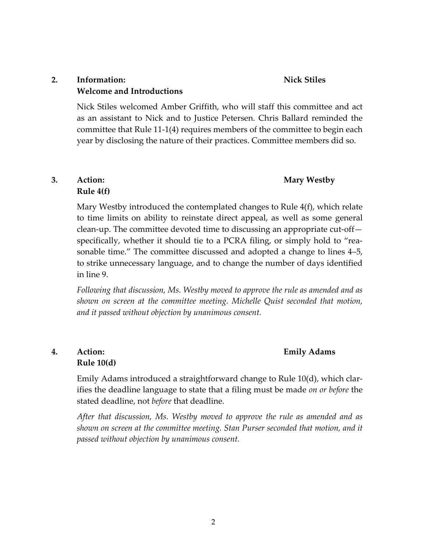## **2. Information: Welcome and Introductions**

**Nick Stiles**

Nick Stiles welcomed Amber Griffith, who will staff this committee and act as an assistant to Nick and to Justice Petersen. Chris Ballard reminded the committee that Rule 11-1(4) requires members of the committee to begin each year by disclosing the nature of their practices. Committee members did so.

## **Mary Westby**

### **3. Action: Rule 4(f)**

Mary Westby introduced the contemplated changes to Rule 4(f), which relate to time limits on ability to reinstate direct appeal, as well as some general clean-up. The committee devoted time to discussing an appropriate cut-off specifically, whether it should tie to a PCRA filing, or simply hold to "reasonable time." The committee discussed and adopted a change to lines 4–5, to strike unnecessary language, and to change the number of days identified in line 9.

*Following that discussion, Ms. Westby moved to approve the rule as amended and as shown on screen at the committee meeting. Michelle Quist seconded that motion, and it passed without objection by unanimous consent.*

## **4. Action: Rule 10(d)**

#### **Emily Adams**

Emily Adams introduced a straightforward change to Rule 10(d), which clarifies the deadline language to state that a filing must be made *on or before* the stated deadline, not *before* that deadline.

*After that discussion, Ms. Westby moved to approve the rule as amended and as shown on screen at the committee meeting. Stan Purser seconded that motion, and it passed without objection by unanimous consent.*